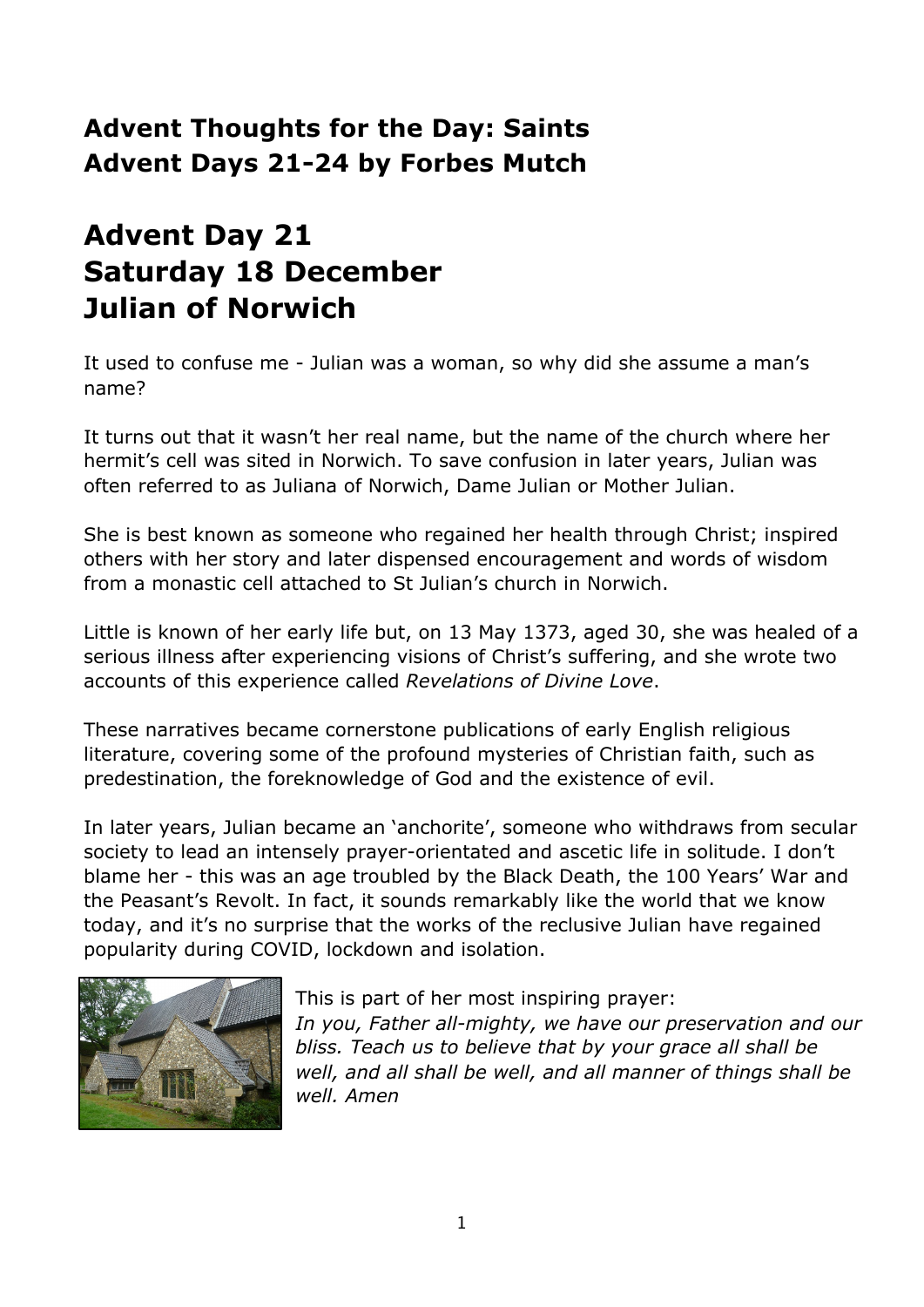### **Advent Thoughts for the Day: Saints Advent Days 21-24 by Forbes Mutch**

# **Advent Day 21 Saturday 18 December Julian of Norwich**

It used to confuse me - Julian was a woman, so why did she assume a man's name?

It turns out that it wasn't her real name, but the name of the church where her hermit's cell was sited in Norwich. To save confusion in later years, Julian was often referred to as Juliana of Norwich, Dame Julian or Mother Julian.

She is best known as someone who regained her health through Christ; inspired others with her story and later dispensed encouragement and words of wisdom from a monastic cell attached to St Julian's church in Norwich.

Little is known of her early life but, on 13 May 1373, aged 30, she was healed of a serious illness after experiencing visions of Christ's suffering, and she wrote two accounts of this experience called *Revelations of Divine Love*.

These narratives became cornerstone publications of early English religious literature, covering some of the profound mysteries of Christian faith, such as predestination, the foreknowledge of God and the existence of evil.

In later years, Julian became an 'anchorite', someone who withdraws from secular society to lead an intensely prayer-orientated and ascetic life in solitude. I don't blame her - this was an age troubled by the Black Death, the 100 Years' War and the Peasant's Revolt. In fact, it sounds remarkably like the world that we know today, and it's no surprise that the works of the reclusive Julian have regained popularity during COVID, lockdown and isolation.



This is part of her most inspiring prayer: *In you, Father all-mighty, we have our preservation and our bliss. Teach us to believe that by your grace all shall be well, and all shall be well, and all manner of things shall be well. Amen*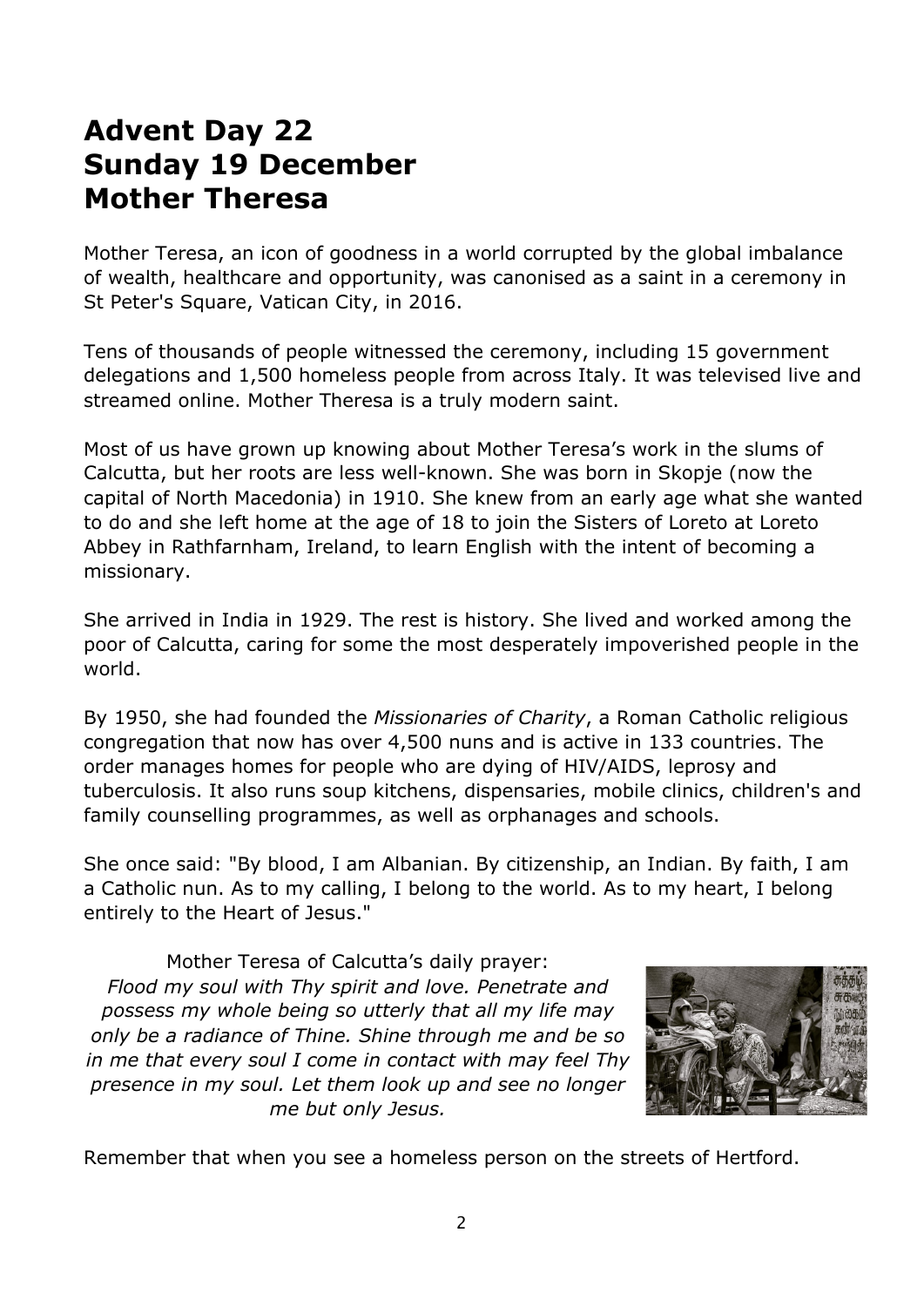### **Advent Day 22 Sunday 19 December Mother Theresa**

Mother Teresa, an icon of goodness in a world corrupted by the global imbalance of wealth, healthcare and opportunity, was canonised as a saint in a ceremony in St Peter's Square, Vatican City, in 2016.

Tens of thousands of people witnessed the ceremony, including 15 government delegations and 1,500 homeless people from across Italy. It was televised live and streamed online. Mother Theresa is a truly modern saint.

Most of us have grown up knowing about Mother Teresa's work in the slums of Calcutta, but her roots are less well-known. She was born in Skopje (now the capital of North Macedonia) in 1910. She knew from an early age what she wanted to do and she left home at the age of 18 to join the Sisters of Loreto at Loreto Abbey in Rathfarnham, Ireland, to learn English with the intent of becoming a missionary.

She arrived in India in 1929. The rest is history. She lived and worked among the poor of Calcutta, caring for some the most desperately impoverished people in the world.

By 1950, she had founded the *Missionaries of Charity*, a Roman Catholic religious congregation that now has over 4,500 nuns and is active in 133 countries. The order manages homes for people who are dying of HIV/AIDS, leprosy and tuberculosis. It also runs soup kitchens, dispensaries, mobile clinics, children's and family counselling programmes, as well as orphanages and schools.

She once said: "By blood, I am Albanian. By citizenship, an Indian. By faith, I am a Catholic nun. As to my calling, I belong to the world. As to my heart, I belong entirely to the Heart of Jesus."

Mother Teresa of Calcutta's daily prayer: *Flood my soul with Thy spirit and love. Penetrate and possess my whole being so utterly that all my life may only be a radiance of Thine. Shine through me and be so in me that every soul I come in contact with may feel Thy presence in my soul. Let them look up and see no longer me but only Jesus.*



Remember that when you see a homeless person on the streets of Hertford.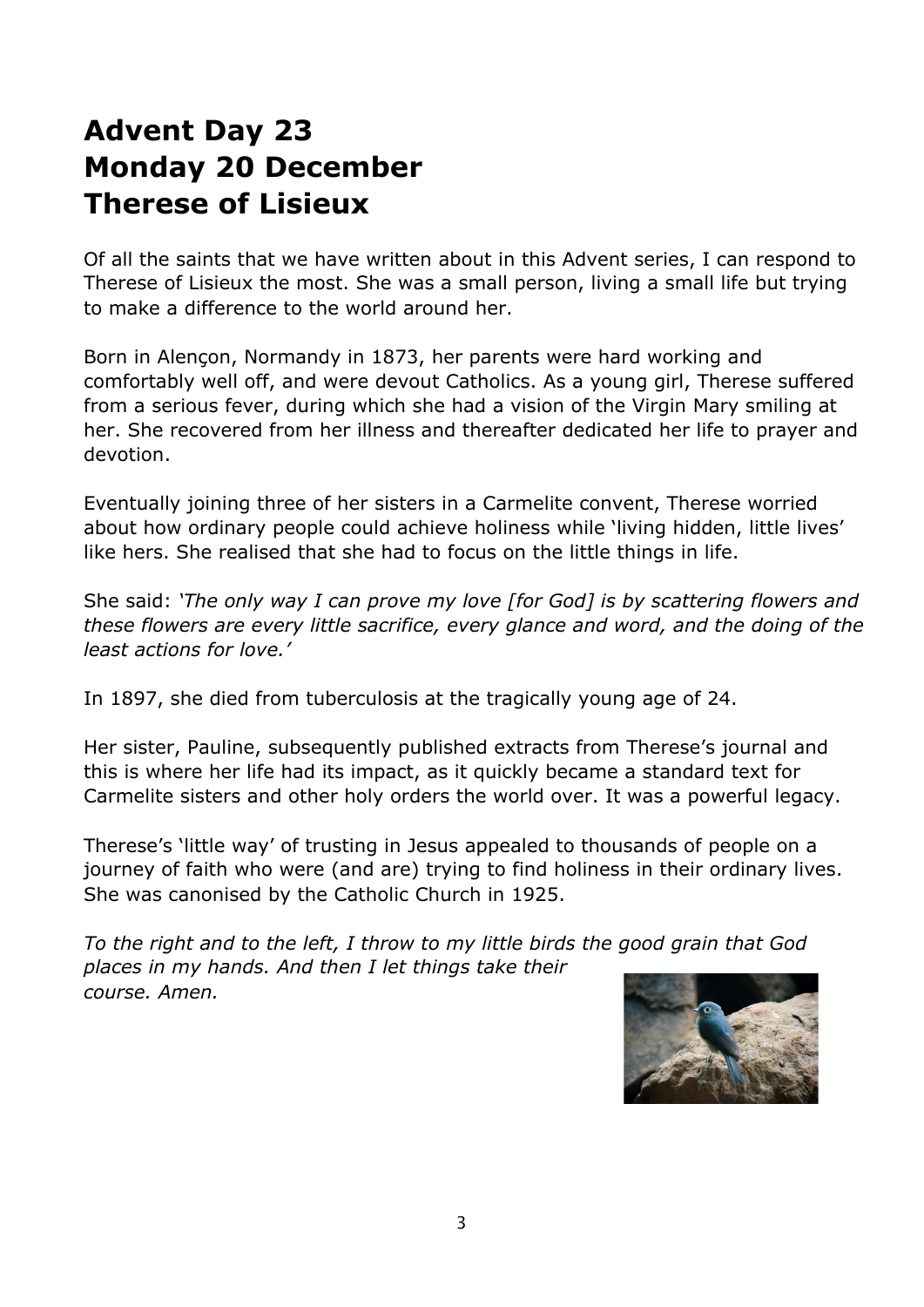## **Advent Day 23 Monday 20 December Therese of Lisieux**

Of all the saints that we have written about in this Advent series, I can respond to Therese of Lisieux the most. She was a small person, living a small life but trying to make a difference to the world around her.

Born in Alençon, Normandy in 1873, her parents were hard working and comfortably well off, and were devout Catholics. As a young girl, Therese suffered from a serious fever, during which she had a vision of the Virgin Mary smiling at her. She recovered from her illness and thereafter dedicated her life to prayer and devotion.

Eventually joining three of her sisters in a Carmelite convent, Therese worried about how ordinary people could achieve holiness while 'living hidden, little lives' like hers. She realised that she had to focus on the little things in life.

She said: *'The only way I can prove my love [for God] is by scattering flowers and these flowers are every little sacrifice, every glance and word, and the doing of the least actions for love.'*

In 1897, she died from tuberculosis at the tragically young age of 24.

Her sister, Pauline, subsequently published extracts from Therese's journal and this is where her life had its impact, as it quickly became a standard text for Carmelite sisters and other holy orders the world over. It was a powerful legacy.

Therese's 'little way' of trusting in Jesus appealed to thousands of people on a journey of faith who were (and are) trying to find holiness in their ordinary lives. She was canonised by the Catholic Church in 1925.

*To the right and to the left, I throw to my little birds the good grain that God places in my hands. And then I let things take their course. Amen.*